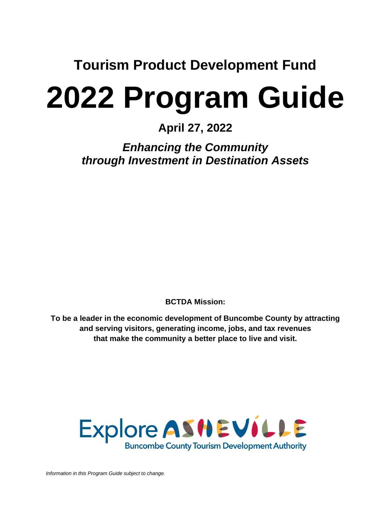**Tourism Product Development Fund**

# **2022 Program Guide**

# **April 27, 2022**

*Enhancing the Community through Investment in Destination Assets*

**BCTDA Mission:**

**To be a leader in the economic development of Buncombe County by attracting and serving visitors, generating income, jobs, and tax revenues that make the community a better place to live and visit.**

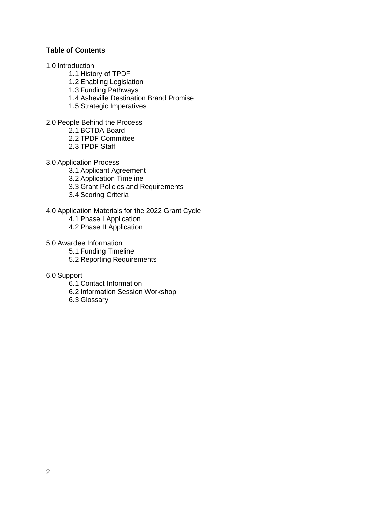# **Table of Contents**

- 1.0 Introduction
	- 1.1 History of TPDF
	- 1.2 Enabling Legislation
	- 1.3 Funding Pathways
	- 1.4 Asheville Destination Brand Promise
	- 1.5 Strategic Imperatives

2.0 People Behind the Process

2.1 BCTDA Board

2.2 TPDF Committee

2.3 TPDF Staff

#### 3.0 Application Process

- 3.1 Applicant Agreement
- 3.2 Application Timeline
- 3.3 Grant Policies and Requirements
- 3.4 Scoring Criteria

#### 4.0 Application Materials for the 2022 Grant Cycle

- 4.1 Phase I Application
- 4.2 Phase II Application
- 5.0 Awardee Information
	- 5.1 Funding Timeline
	- 5.2 Reporting Requirements

#### 6.0 Support

- 6.1 Contact Information
- 6.2 Information Session Workshop
- 6.3 Glossary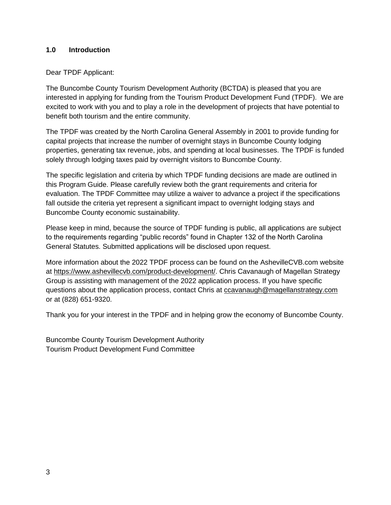# **1.0 Introduction**

#### Dear TPDF Applicant:

The Buncombe County Tourism Development Authority (BCTDA) is pleased that you are interested in applying for funding from the Tourism Product Development Fund (TPDF). We are excited to work with you and to play a role in the development of projects that have potential to benefit both tourism and the entire community.

The TPDF was created by the North Carolina General Assembly in 2001 to provide funding for capital projects that increase the number of overnight stays in Buncombe County lodging properties, generating tax revenue, jobs, and spending at local businesses. The TPDF is funded solely through lodging taxes paid by overnight visitors to Buncombe County.

The specific legislation and criteria by which TPDF funding decisions are made are outlined in this Program Guide. Please carefully review both the grant requirements and criteria for evaluation. The TPDF Committee may utilize a waiver to advance a project if the specifications fall outside the criteria yet represent a significant impact to overnight lodging stays and Buncombe County economic sustainability.

Please keep in mind, because the source of TPDF funding is public, all applications are subject to the requirements regarding "public records" found in Chapter 132 of the North Carolina General Statutes. Submitted applications will be disclosed upon request.

More information about the 2022 TPDF process can be found on the AshevilleCVB.com website at [https://www.ashevillecvb.com/product-development/.](https://www.ashevillecvb.com/product-development/) Chris Cavanaugh of Magellan Strategy Group is assisting with management of the 2022 application process. If you have specific questions about the application process, contact Chris at [ccavanaugh@magellanstrategy.com](mailto:ccavanaugh@magellanstrategy.com) or at (828) 651-9320.

Thank you for your interest in the TPDF and in helping grow the economy of Buncombe County.

Buncombe County Tourism Development Authority Tourism Product Development Fund Committee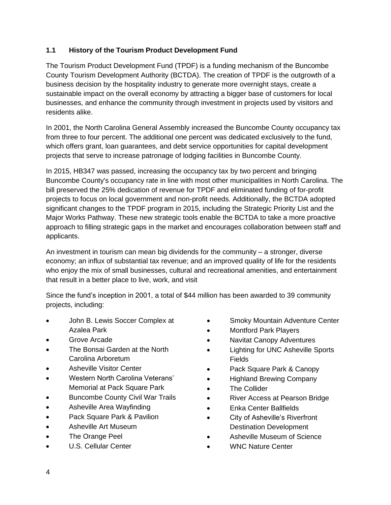# **1.1 History of the Tourism Product Development Fund**

The Tourism Product Development Fund (TPDF) is a funding mechanism of the Buncombe County Tourism Development Authority (BCTDA). The creation of TPDF is the outgrowth of a business decision by the hospitality industry to generate more overnight stays, create a sustainable impact on the overall economy by attracting a bigger base of customers for local businesses, and enhance the community through investment in projects used by visitors and residents alike.

In 2001, the North Carolina General Assembly increased the Buncombe County occupancy tax from three to four percent. The additional one percent was dedicated exclusively to the fund, which offers grant, loan guarantees, and debt service opportunities for capital development projects that serve to increase patronage of lodging facilities in Buncombe County.

In 2015, HB347 was passed, increasing the occupancy tax by two percent and bringing Buncombe County's occupancy rate in line with most other municipalities in North Carolina. The bill preserved the 25% dedication of revenue for TPDF and eliminated funding of for-profit projects to focus on local government and non-profit needs. Additionally, the BCTDA adopted significant changes to the TPDF program in 2015, including the Strategic Priority List and the Major Works Pathway. These new strategic tools enable the BCTDA to take a more proactive approach to filling strategic gaps in the market and encourages collaboration between staff and applicants.

An investment in tourism can mean big dividends for the community – a stronger, diverse economy; an influx of substantial tax revenue; and an improved quality of life for the residents who enjoy the mix of small businesses, cultural and recreational amenities, and entertainment that result in a better place to live, work, and visit

Since the fund's inception in 2001, a total of \$44 million has been awarded to 39 community projects, including:

- John B. Lewis Soccer Complex at Azalea Park
- Grove Arcade
- The Bonsai Garden at the North Carolina Arboretum
- **Asheville Visitor Center**
- Western North Carolina Veterans' Memorial at Pack Square Park
- Buncombe County Civil War Trails
- Asheville Area Wayfinding
- Pack Square Park & Pavilion
- Asheville Art Museum
- The Orange Peel
- U.S. Cellular Center
- Smoky Mountain Adventure Center
- Montford Park Players
- Navitat Canopy Adventures
- Lighting for UNC Asheville Sports Fields
- Pack Square Park & Canopy
- Highland Brewing Company
- The Collider
- River Access at Pearson Bridge
- Enka Center Ballfields
- City of Asheville's Riverfront Destination Development
- Asheville Museum of Science
- WNC Nature Center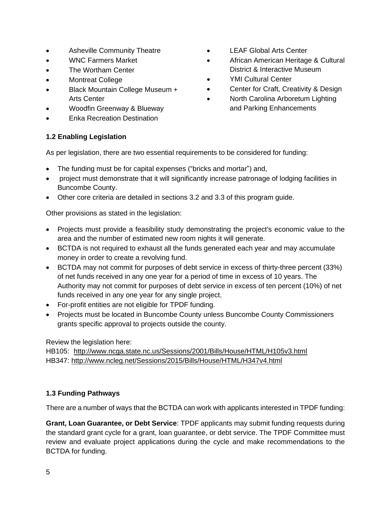- Asheville Community Theatre
- WNC Farmers Market
- The Wortham Center
- Montreat College
- Black Mountain College Museum + Arts Center
- Woodfin Greenway & Blueway
- Enka Recreation Destination

# • LEAF Global Arts Center

- African American Heritage & Cultural District & Interactive Museum
- YMI Cultural Center
- Center for Craft, Creativity & Design
- North Carolina Arboretum Lighting and Parking Enhancements

# **1.2 Enabling Legislation**

As per legislation, there are two essential requirements to be considered for funding:

- The funding must be for capital expenses ("bricks and mortar") and,
- project must demonstrate that it will significantly increase patronage of lodging facilities in Buncombe County.
- Other core criteria are detailed in sections 3.2 and 3.3 of this program guide.

Other provisions as stated in the legislation:

- Projects must provide a feasibility study demonstrating the project's economic value to the area and the number of estimated new room nights it will generate.
- BCTDA is not required to exhaust all the funds generated each year and may accumulate money in order to create a revolving fund.
- BCTDA may not commit for purposes of debt service in excess of thirty-three percent (33%) of net funds received in any one year for a period of time in excess of 10 years. The Authority may not commit for purposes of debt service in excess of ten percent (10%) of net funds received in any one year for any single project.
- For-profit entities are not eligible for TPDF funding.
- Projects must be located in Buncombe County unless Buncombe County Commissioners grants specific approval to projects outside the county.

Review the legislation here:

HB105: <http://www.ncga.state.nc.us/Sessions/2001/Bills/House/HTML/H105v3.html> HB347:<http://www.ncleg.net/Sessions/2015/Bills/House/HTML/H347v4.html>

# **1.3 Funding Pathways**

There are a number of ways that the BCTDA can work with applicants interested in TPDF funding:

**Grant, Loan Guarantee, or Debt Service**: TPDF applicants may submit funding requests during the standard grant cycle for a grant, loan guarantee, or debt service. The TPDF Committee must review and evaluate project applications during the cycle and make recommendations to the BCTDA for funding.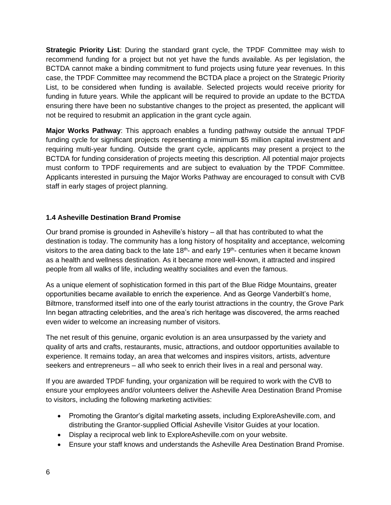**Strategic Priority List**: During the standard grant cycle, the TPDF Committee may wish to recommend funding for a project but not yet have the funds available. As per legislation, the BCTDA cannot make a binding commitment to fund projects using future year revenues. In this case, the TPDF Committee may recommend the BCTDA place a project on the Strategic Priority List, to be considered when funding is available. Selected projects would receive priority for funding in future years. While the applicant will be required to provide an update to the BCTDA ensuring there have been no substantive changes to the project as presented, the applicant will not be required to resubmit an application in the grant cycle again.

**Major Works Pathway**: This approach enables a funding pathway outside the annual TPDF funding cycle for significant projects representing a minimum \$5 million capital investment and requiring multi-year funding. Outside the grant cycle, applicants may present a project to the BCTDA for funding consideration of projects meeting this description. All potential major projects must conform to TPDF requirements and are subject to evaluation by the TPDF Committee. Applicants interested in pursuing the Major Works Pathway are encouraged to consult with CVB staff in early stages of project planning.

# **1.4 Asheville Destination Brand Promise**

Our brand promise is grounded in Asheville's history – all that has contributed to what the destination is today. The community has a long history of hospitality and acceptance, welcoming visitors to the area dating back to the late 18<sup>th</sup>- and early 19<sup>th</sup>- centuries when it became known as a health and wellness destination. As it became more well-known, it attracted and inspired people from all walks of life, including wealthy socialites and even the famous.

As a unique element of sophistication formed in this part of the Blue Ridge Mountains, greater opportunities became available to enrich the experience. And as George Vanderbilt's home, Biltmore, transformed itself into one of the early tourist attractions in the country, the Grove Park Inn began attracting celebrities, and the area's rich heritage was discovered, the arms reached even wider to welcome an increasing number of visitors.

The net result of this genuine, organic evolution is an area unsurpassed by the variety and quality of arts and crafts, restaurants, music, attractions, and outdoor opportunities available to experience. It remains today, an area that welcomes and inspires visitors, artists, adventure seekers and entrepreneurs – all who seek to enrich their lives in a real and personal way.

If you are awarded TPDF funding, your organization will be required to work with the CVB to ensure your employees and/or volunteers deliver the Asheville Area Destination Brand Promise to visitors, including the following marketing activities:

- Promoting the Grantor's digital marketing assets, including ExploreAsheville.com, and distributing the Grantor-supplied Official Asheville Visitor Guides at your location.
- Display a reciprocal web link to ExploreAsheville.com on your website.
- Ensure your staff knows and understands the Asheville Area Destination Brand Promise.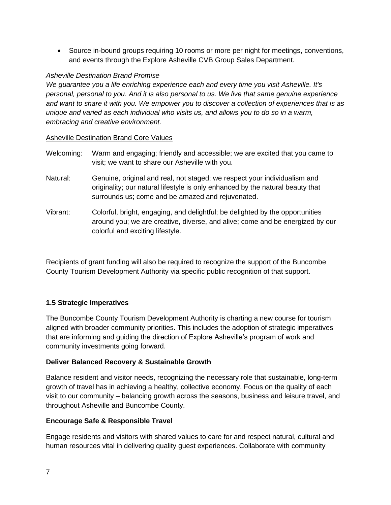• Source in-bound groups requiring 10 rooms or more per night for meetings, conventions, and events through the Explore Asheville CVB Group Sales Department.

# *Asheville Destination Brand Promise*

*We guarantee you a life enriching experience each and every time you visit Asheville. It's personal, personal to you. And it is also personal to us. We live that same genuine experience and want to share it with you. We empower you to discover a collection of experiences that is as unique and varied as each individual who visits us, and allows you to do so in a warm, embracing and creative environment.*

#### Asheville Destination Brand Core Values

- Welcoming: Warm and engaging; friendly and accessible; we are excited that you came to visit; we want to share our Asheville with you.
- Natural: Genuine, original and real, not staged; we respect your individualism and originality; our natural lifestyle is only enhanced by the natural beauty that surrounds us; come and be amazed and rejuvenated.
- Vibrant: Colorful, bright, engaging, and delightful; be delighted by the opportunities around you; we are creative, diverse, and alive; come and be energized by our colorful and exciting lifestyle.

Recipients of grant funding will also be required to recognize the support of the Buncombe County Tourism Development Authority via specific public recognition of that support.

# **1.5 Strategic Imperatives**

The Buncombe County Tourism Development Authority is charting a new course for tourism aligned with broader community priorities. This includes the adoption of strategic imperatives that are informing and guiding the direction of Explore Asheville's program of work and community investments going forward.

# **Deliver Balanced Recovery & Sustainable Growth**

Balance resident and visitor needs, recognizing the necessary role that sustainable, long-term growth of travel has in achieving a healthy, collective economy. Focus on the quality of each visit to our community – balancing growth across the seasons, business and leisure travel, and throughout Asheville and Buncombe County.

# **Encourage Safe & Responsible Travel**

Engage residents and visitors with shared values to care for and respect natural, cultural and human resources vital in delivering quality guest experiences. Collaborate with community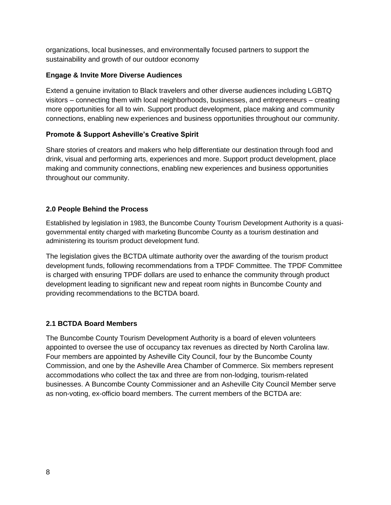organizations, local businesses, and environmentally focused partners to support the sustainability and growth of our outdoor economy

# **Engage & Invite More Diverse Audiences**

Extend a genuine invitation to Black travelers and other diverse audiences including LGBTQ visitors – connecting them with local neighborhoods, businesses, and entrepreneurs – creating more opportunities for all to win. Support product development, place making and community connections, enabling new experiences and business opportunities throughout our community.

# **Promote & Support Asheville's Creative Spirit**

Share stories of creators and makers who help differentiate our destination through food and drink, visual and performing arts, experiences and more. Support product development, place making and community connections, enabling new experiences and business opportunities throughout our community.

# **2.0 People Behind the Process**

Established by legislation in 1983, the Buncombe County Tourism Development Authority is a quasigovernmental entity charged with marketing Buncombe County as a tourism destination and administering its tourism product development fund.

The legislation gives the BCTDA ultimate authority over the awarding of the tourism product development funds, following recommendations from a TPDF Committee. The TPDF Committee is charged with ensuring TPDF dollars are used to enhance the community through product development leading to significant new and repeat room nights in Buncombe County and providing recommendations to the BCTDA board.

# **2.1 BCTDA Board Members**

The Buncombe County Tourism Development Authority is a board of eleven volunteers appointed to oversee the use of occupancy tax revenues as directed by North Carolina law. Four members are appointed by Asheville City Council, four by the Buncombe County Commission, and one by the Asheville Area Chamber of Commerce. Six members represent accommodations who collect the tax and three are from non-lodging, tourism-related businesses. A Buncombe County Commissioner and an Asheville City Council Member serve as non-voting, ex-officio board members. The current members of the BCTDA are: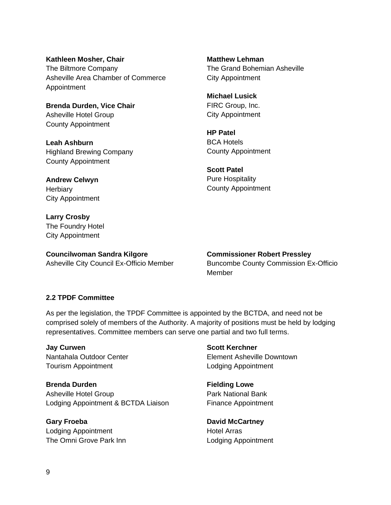**Kathleen Mosher, Chair** The Biltmore Company Asheville Area Chamber of Commerce Appointment

**Brenda Durden, Vice Chair** Asheville Hotel Group County Appointment

**Leah Ashburn** Highland Brewing Company County Appointment

**Andrew Celwyn Herbiary** City Appointment

**Larry Crosby** The Foundry Hotel City Appointment

**Councilwoman Sandra Kilgore** Asheville City Council Ex-Officio Member **Matthew Lehman** The Grand Bohemian Asheville City Appointment

**Michael Lusick** FIRC Group, Inc. City Appointment

**HP Patel** BCA Hotels County Appointment

**Scott Patel** Pure Hospitality County Appointment

**Commissioner Robert Pressley** Buncombe County Commission Ex-Officio Member

#### **2.2 TPDF Committee**

As per the legislation, the TPDF Committee is appointed by the BCTDA, and need not be comprised solely of members of the Authority. A majority of positions must be held by lodging representatives. Committee members can serve one partial and two full terms.

**Jay Curwen** Nantahala Outdoor Center Tourism Appointment

**Brenda Durden** Asheville Hotel Group Lodging Appointment & BCTDA Liaison

**Gary Froeba** Lodging Appointment The Omni Grove Park Inn **Scott Kerchner** Element Asheville Downtown Lodging Appointment

**Fielding Lowe** Park National Bank Finance Appointment

**David McCartney** Hotel Arras Lodging Appointment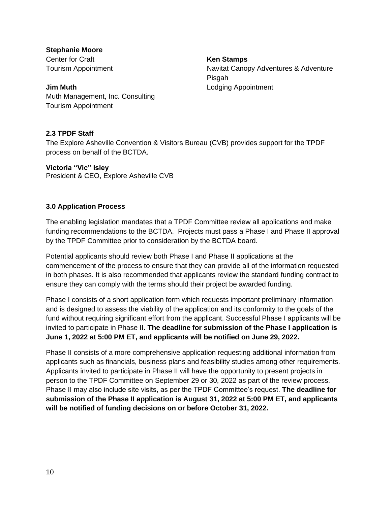**Stephanie Moore** Center for Craft Tourism Appointment

**Ken Stamps** Navitat Canopy Adventures & Adventure Pisgah Lodging Appointment

**Jim Muth** Muth Management, Inc. Consulting Tourism Appointment

# **2.3 TPDF Staff**

The Explore Asheville Convention & Visitors Bureau (CVB) provides support for the TPDF process on behalf of the BCTDA.

**Victoria "Vic" Isley**

President & CEO, Explore Asheville CVB

# **3.0 Application Process**

The enabling legislation mandates that a TPDF Committee review all applications and make funding recommendations to the BCTDA. Projects must pass a Phase I and Phase II approval by the TPDF Committee prior to consideration by the BCTDA board.

Potential applicants should review both Phase I and Phase II applications at the commencement of the process to ensure that they can provide all of the information requested in both phases. It is also recommended that applicants review the standard funding contract to ensure they can comply with the terms should their project be awarded funding.

Phase I consists of a short application form which requests important preliminary information and is designed to assess the viability of the application and its conformity to the goals of the fund without requiring significant effort from the applicant. Successful Phase I applicants will be invited to participate in Phase II. **The deadline for submission of the Phase I application is June 1, 2022 at 5:00 PM ET, and applicants will be notified on June 29, 2022.**

Phase II consists of a more comprehensive application requesting additional information from applicants such as financials, business plans and feasibility studies among other requirements. Applicants invited to participate in Phase II will have the opportunity to present projects in person to the TPDF Committee on September 29 or 30, 2022 as part of the review process. Phase II may also include site visits, as per the TPDF Committee's request. **The deadline for submission of the Phase II application is August 31, 2022 at 5:00 PM ET, and applicants will be notified of funding decisions on or before October 31, 2022.**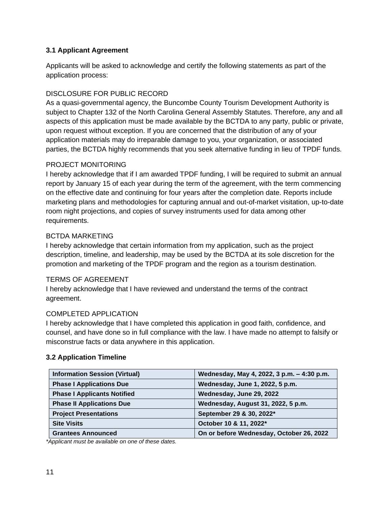# **3.1 Applicant Agreement**

Applicants will be asked to acknowledge and certify the following statements as part of the application process:

# DISCLOSURE FOR PUBLIC RECORD

As a quasi-governmental agency, the Buncombe County Tourism Development Authority is subject to Chapter 132 of the North Carolina General Assembly Statutes. Therefore, any and all aspects of this application must be made available by the BCTDA to any party, public or private, upon request without exception. If you are concerned that the distribution of any of your application materials may do irreparable damage to you, your organization, or associated parties, the BCTDA highly recommends that you seek alternative funding in lieu of TPDF funds.

# PROJECT MONITORING

I hereby acknowledge that if I am awarded TPDF funding, I will be required to submit an annual report by January 15 of each year during the term of the agreement, with the term commencing on the effective date and continuing for four years after the completion date. Reports include marketing plans and methodologies for capturing annual and out-of-market visitation, up-to-date room night projections, and copies of survey instruments used for data among other requirements.

# BCTDA MARKETING

I hereby acknowledge that certain information from my application, such as the project description, timeline, and leadership, may be used by the BCTDA at its sole discretion for the promotion and marketing of the TPDF program and the region as a tourism destination.

# TERMS OF AGREEMENT

I hereby acknowledge that I have reviewed and understand the terms of the contract agreement.

# COMPLETED APPLICATION

I hereby acknowledge that I have completed this application in good faith, confidence, and counsel, and have done so in full compliance with the law. I have made no attempt to falsify or misconstrue facts or data anywhere in this application.

# **3.2 Application Timeline**

| <b>Information Session (Virtual)</b> | Wednesday, May 4, 2022, 3 p.m. - 4:30 p.m. |
|--------------------------------------|--------------------------------------------|
| <b>Phase I Applications Due</b>      | Wednesday, June 1, 2022, 5 p.m.            |
| <b>Phase I Applicants Notified</b>   | Wednesday, June 29, 2022                   |
| <b>Phase II Applications Due</b>     | Wednesday, August 31, 2022, 5 p.m.         |
| <b>Project Presentations</b>         | September 29 & 30, 2022*                   |
| <b>Site Visits</b>                   | October 10 & 11, 2022*                     |
| <b>Grantees Announced</b>            | On or before Wednesday, October 26, 2022   |

*\*Applicant must be available on one of these dates.*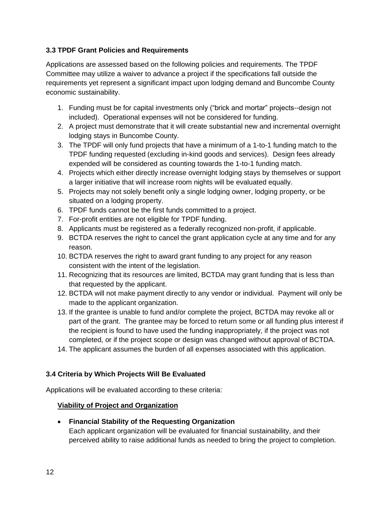# **3.3 TPDF Grant Policies and Requirements**

Applications are assessed based on the following policies and requirements. The TPDF Committee may utilize a waiver to advance a project if the specifications fall outside the requirements yet represent a significant impact upon lodging demand and Buncombe County economic sustainability.

- 1. Funding must be for capital investments only ("brick and mortar" projects--design not included). Operational expenses will not be considered for funding.
- 2. A project must demonstrate that it will create substantial new and incremental overnight lodging stays in Buncombe County.
- 3. The TPDF will only fund projects that have a minimum of a 1-to-1 funding match to the TPDF funding requested (excluding in-kind goods and services). Design fees already expended will be considered as counting towards the 1-to-1 funding match.
- 4. Projects which either directly increase overnight lodging stays by themselves or support a larger initiative that will increase room nights will be evaluated equally.
- 5. Projects may not solely benefit only a single lodging owner, lodging property, or be situated on a lodging property.
- 6. TPDF funds cannot be the first funds committed to a project.
- 7. For-profit entities are not eligible for TPDF funding.
- 8. Applicants must be registered as a federally recognized non-profit, if applicable.
- 9. BCTDA reserves the right to cancel the grant application cycle at any time and for any reason.
- 10. BCTDA reserves the right to award grant funding to any project for any reason consistent with the intent of the legislation.
- 11. Recognizing that its resources are limited, BCTDA may grant funding that is less than that requested by the applicant.
- 12. BCTDA will not make payment directly to any vendor or individual. Payment will only be made to the applicant organization.
- 13. If the grantee is unable to fund and/or complete the project, BCTDA may revoke all or part of the grant. The grantee may be forced to return some or all funding plus interest if the recipient is found to have used the funding inappropriately, if the project was not completed, or if the project scope or design was changed without approval of BCTDA.
- 14. The applicant assumes the burden of all expenses associated with this application.

# **3.4 Criteria by Which Projects Will Be Evaluated**

Applications will be evaluated according to these criteria:

# **Viability of Project and Organization**

• **Financial Stability of the Requesting Organization** Each applicant organization will be evaluated for financial sustainability, and their perceived ability to raise additional funds as needed to bring the project to completion.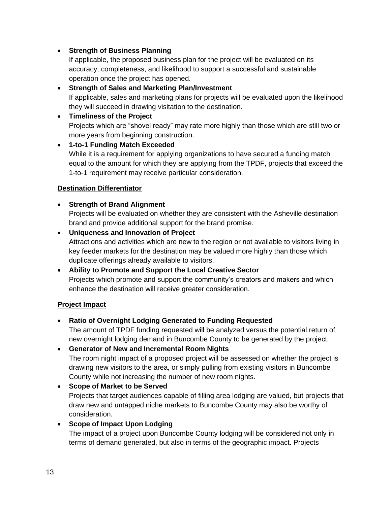# • **Strength of Business Planning**

If applicable, the proposed business plan for the project will be evaluated on its accuracy, completeness, and likelihood to support a successful and sustainable operation once the project has opened.

# • **Strength of Sales and Marketing Plan/Investment** If applicable, sales and marketing plans for projects will be evaluated upon the likelihood they will succeed in drawing visitation to the destination.

# • **Timeliness of the Project**

Projects which are "shovel ready" may rate more highly than those which are still two or more years from beginning construction.

# • **1-to-1 Funding Match Exceeded**

While it is a requirement for applying organizations to have secured a funding match equal to the amount for which they are applying from the TPDF, projects that exceed the 1-to-1 requirement may receive particular consideration.

# **Destination Differentiator**

# • **Strength of Brand Alignment**

Projects will be evaluated on whether they are consistent with the Asheville destination brand and provide additional support for the brand promise.

# • **Uniqueness and Innovation of Project**

Attractions and activities which are new to the region or not available to visitors living in key feeder markets for the destination may be valued more highly than those which duplicate offerings already available to visitors.

# • **Ability to Promote and Support the Local Creative Sector**

Projects which promote and support the community's creators and makers and which enhance the destination will receive greater consideration.

# **Project Impact**

# • **Ratio of Overnight Lodging Generated to Funding Requested**

The amount of TPDF funding requested will be analyzed versus the potential return of new overnight lodging demand in Buncombe County to be generated by the project.

# • **Generator of New and Incremental Room Nights** The room night impact of a proposed project will be assessed on whether the project is drawing new visitors to the area, or simply pulling from existing visitors in Buncombe County while not increasing the number of new room nights.

# • **Scope of Market to be Served** Projects that target audiences capable of filling area lodging are valued, but projects that draw new and untapped niche markets to Buncombe County may also be worthy of consideration.

# • **Scope of Impact Upon Lodging**

The impact of a project upon Buncombe County lodging will be considered not only in terms of demand generated, but also in terms of the geographic impact. Projects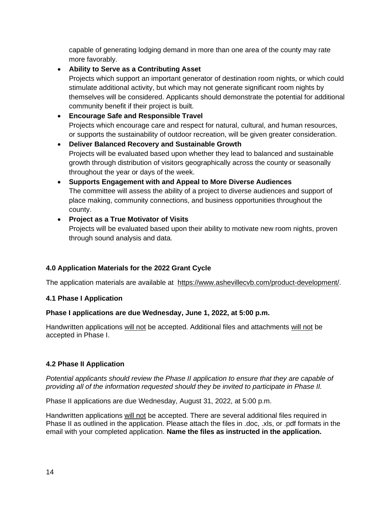capable of generating lodging demand in more than one area of the county may rate more favorably.

• **Ability to Serve as a Contributing Asset**

Projects which support an important generator of destination room nights, or which could stimulate additional activity, but which may not generate significant room nights by themselves will be considered. Applicants should demonstrate the potential for additional community benefit if their project is built.

# • **Encourage Safe and Responsible Travel** Projects which encourage care and respect for natural, cultural, and human resources, or supports the sustainability of outdoor recreation, will be given greater consideration.

• **Deliver Balanced Recovery and Sustainable Growth** Projects will be evaluated based upon whether they lead to balanced and sustainable growth through distribution of visitors geographically across the county or seasonally throughout the year or days of the week.

• **Supports Engagement with and Appeal to More Diverse Audiences** The committee will assess the ability of a project to diverse audiences and support of place making, community connections, and business opportunities throughout the county.

# • **Project as a True Motivator of Visits**

Projects will be evaluated based upon their ability to motivate new room nights, proven through sound analysis and data.

# **4.0 Application Materials for the 2022 Grant Cycle**

The application materials are available at [https://www.ashevillecvb.com/product-development/.](https://www.ashevillecvb.com/product-development/)

# **4.1 Phase I Application**

# **Phase I applications are due Wednesday, June 1, 2022, at 5:00 p.m.**

Handwritten applications will not be accepted. Additional files and attachments will not be accepted in Phase I.

# **4.2 Phase II Application**

*Potential applicants should review the Phase II application to ensure that they are capable of providing all of the information requested should they be invited to participate in Phase II.*

Phase II applications are due Wednesday, August 31, 2022, at 5:00 p.m.

Handwritten applications will not be accepted. There are several additional files required in Phase II as outlined in the application. Please attach the files in .doc, .xls, or .pdf formats in the email with your completed application. **Name the files as instructed in the application.**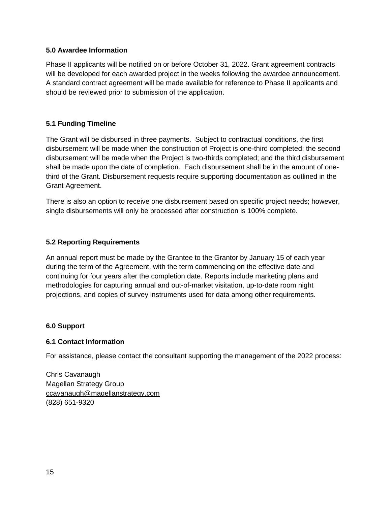#### **5.0 Awardee Information**

Phase II applicants will be notified on or before October 31, 2022. Grant agreement contracts will be developed for each awarded project in the weeks following the awardee announcement. A standard contract agreement will be made available for reference to Phase II applicants and should be reviewed prior to submission of the application.

# **5.1 Funding Timeline**

The Grant will be disbursed in three payments. Subject to contractual conditions, the first disbursement will be made when the construction of Project is one-third completed; the second disbursement will be made when the Project is two-thirds completed; and the third disbursement shall be made upon the date of completion. Each disbursement shall be in the amount of onethird of the Grant. Disbursement requests require supporting documentation as outlined in the Grant Agreement.

There is also an option to receive one disbursement based on specific project needs; however, single disbursements will only be processed after construction is 100% complete.

# **5.2 Reporting Requirements**

An annual report must be made by the Grantee to the Grantor by January 15 of each year during the term of the Agreement, with the term commencing on the effective date and continuing for four years after the completion date. Reports include marketing plans and methodologies for capturing annual and out-of-market visitation, up-to-date room night projections, and copies of survey instruments used for data among other requirements.

#### **6.0 Support**

#### **6.1 Contact Information**

For assistance, please contact the consultant supporting the management of the 2022 process:

Chris Cavanaugh Magellan Strategy Group [ccavanaugh@magellanstrategy.com](mailto:ccavanaugh@magellanstrategy.com) (828) 651-9320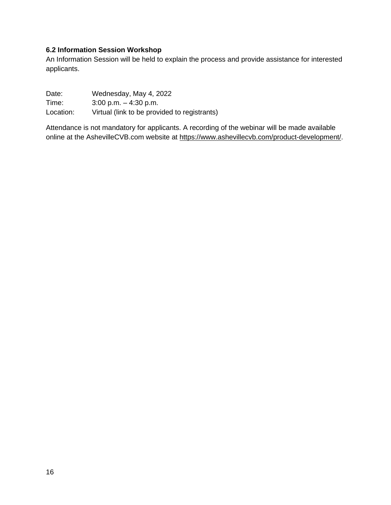# **6.2 Information Session Workshop**

An Information Session will be held to explain the process and provide assistance for interested applicants.

Date: Wednesday, May 4, 2022 Time: 3:00 p.m. – 4:30 p.m. Location: Virtual (link to be provided to registrants)

Attendance is not mandatory for applicants. A recording of the webinar will be made available online at the AshevilleCVB.com website at [https://www.ashevillecvb.com/product-development/.](https://www.ashevillecvb.com/product-development/)